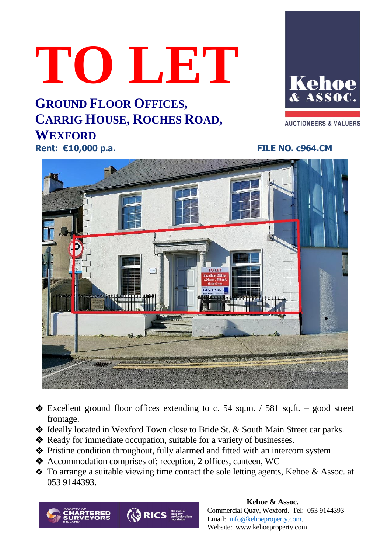# **TO LET**

**GROUND FLOOR OFFICES, CARRIG HOUSE, ROCHES ROAD, WEXFORD Rent: €10,000 p.a. FILE NO. c964.CM**

Kehoe ASSOC.

**AUCTIONEERS & VALUERS** 



- $\triangleleft$  Excellent ground floor offices extending to c. 54 sq.m. / 581 sq.ft. good street frontage.
- ❖ Ideally located in Wexford Town close to Bride St. & South Main Street car parks.
- ❖ Ready for immediate occupation, suitable for a variety of businesses.
- ❖ Pristine condition throughout, fully alarmed and fitted with an intercom system
- ❖ Accommodation comprises of; reception, 2 offices, canteen, WC
- ❖ To arrange a suitable viewing time contact the sole letting agents, Kehoe & Assoc. at 053 9144393.



### **Kehoe & Assoc.** Commercial Quay, Wexford. Tel: 053 9144393 Email: [info@kehoeproperty.com.](mailto:info@kehoeproperty.com) Website: www.kehoeproperty.com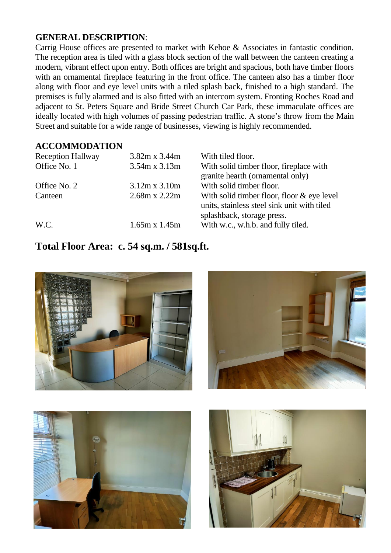## **GENERAL DESCRIPTION**:

Carrig House offices are presented to market with Kehoe & Associates in fantastic condition. The reception area is tiled with a glass block section of the wall between the canteen creating a modern, vibrant effect upon entry. Both offices are bright and spacious, both have timber floors with an ornamental fireplace featuring in the front office. The canteen also has a timber floor along with floor and eye level units with a tiled splash back, finished to a high standard. The premises is fully alarmed and is also fitted with an intercom system. Fronting Roches Road and adjacent to St. Peters Square and Bride Street Church Car Park, these immaculate offices are ideally located with high volumes of passing pedestrian traffic. A stone's throw from the Main Street and suitable for a wide range of businesses, viewing is highly recommended.

### **ACCOMMODATION**

| <b>Reception Hallway</b><br>Office No. 1 | $3.82m \times 3.44m$<br>$3.54m \times 3.13m$ | With tiled floor.<br>With solid timber floor, fireplace with<br>granite hearth (ornamental only)                          |
|------------------------------------------|----------------------------------------------|---------------------------------------------------------------------------------------------------------------------------|
| Office No. 2                             | $3.12m \times 3.10m$                         | With solid timber floor.                                                                                                  |
| Canteen                                  | $2.68m \times 2.22m$                         | With solid timber floor, floor $&$ eye level<br>units, stainless steel sink unit with tiled<br>splashback, storage press. |
| W.C.                                     | $1.65m \times 1.45m$                         | With w.c., w.h.b. and fully tiled.                                                                                        |

# **Total Floor Area: c. 54 sq.m. / 581sq.ft.**